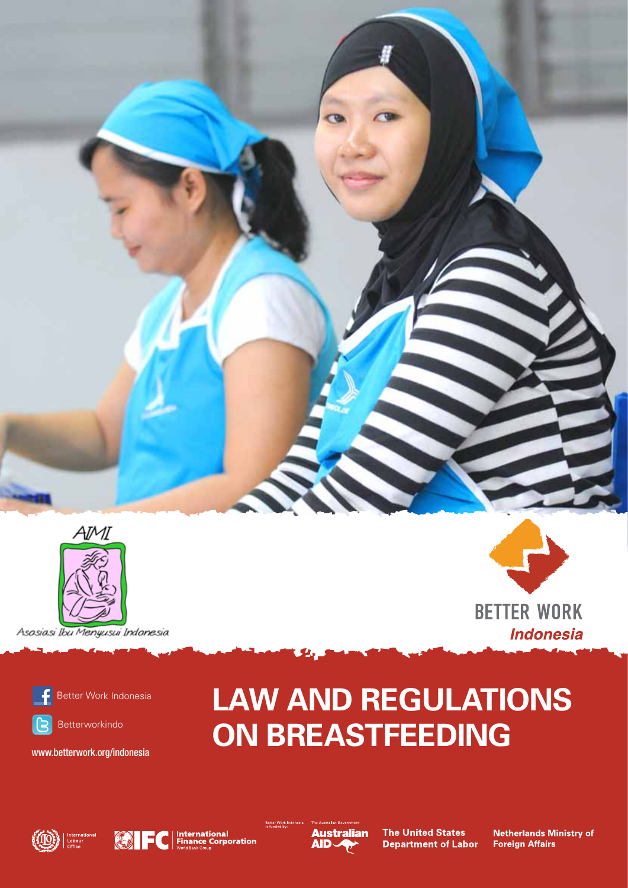



Asosiasi Ibu Menyusui Indonesia



Better Work Indonesia



Betterworkindo

www.betterwork.org/indonesia

# **LAW AND REGULATIONS ON BREASTFEEDING**





a

**International<br>Finance Corporation** 



Better Work

**The United States Department of Labor** 

**Netherlands Ministry of Foreign Affairs** 

**BETTER WORK** 

**Indonesia**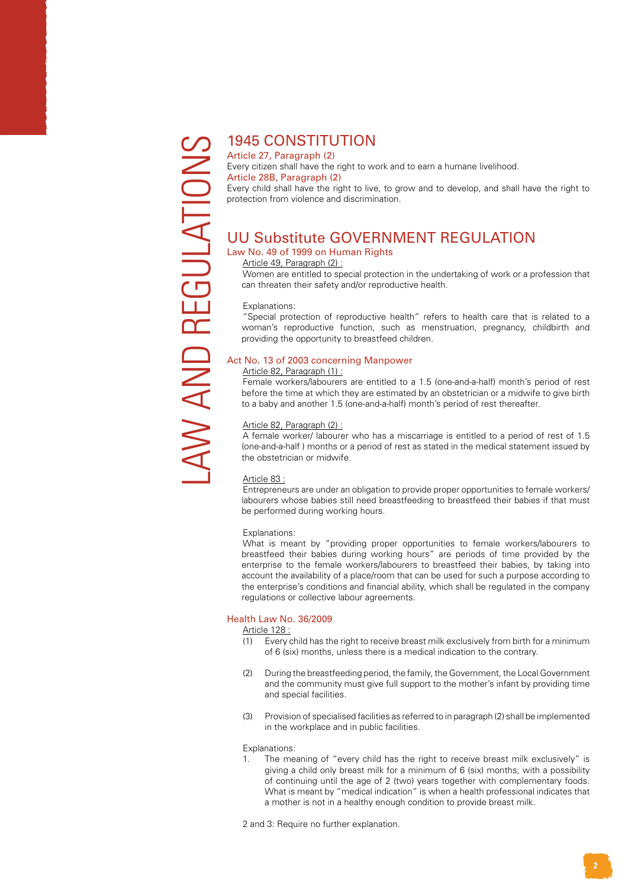# 1945 CONSTITUTION

Article 27, Paragraph (2) Every citizen shall have the right to work and to earn a humane livelihood. Article 28B, Paragraph (2) Every child shall have the right to live, to grow and to develop, and shall have the right to protection from violence and discrimination.

# UU Substitute GOVERNMENT REGULATION

## Law No. 49 of 1999 on Human Rights

Article 49, Paragraph (2) :

Women are entitled to special protection in the undertaking of work or a profession that can threaten their safety and/or reproductive health.

#### Explanations:

"Special protection of reproductive health" refers to health care that is related to a woman's reproductive function, such as menstruation, pregnancy, childbirth and providing the opportunity to breastfeed children.

#### Act No. 13 of 2003 concerning Manpower

#### Article 82, Paragraph (1) :

Female workers/labourers are entitled to a 1.5 (one-and-a-half) month's period of rest before the time at which they are estimated by an obstetrician or a midwife to give birth to a baby and another 1.5 (one-and-a-half) month's period of rest thereafter.

#### Article 82, Paragraph (2) :

A female worker/ labourer who has a miscarriage is entitled to a period of rest of 1.5 (one-and-a-half ) months or a period of rest as stated in the medical statement issued by the obstetrician or midwife.

#### Article 83 :

Entrepreneurs are under an obligation to provide proper opportunities to female workers/ labourers whose babies still need breastfeeding to breastfeed their babies if that must be performed during working hours.

#### Explanations:

What is meant by "providing proper opportunities to female workers/labourers to breastfeed their babies during working hours" are periods of time provided by the enterprise to the female workers/labourers to breastfeed their babies, by taking into account the availability of a place/room that can be used for such a purpose according to the enterprise's conditions and financial ability, which shall be regulated in the company regulations or collective labour agreements.

#### Health Law No. 36/2009

#### Article 128 :

- (1) Every child has the right to receive breast milk exclusively from birth for a minimum of 6 (six) months, unless there is a medical indication to the contrary.
- (2) During the breastfeeding period, the family, the Government, the Local Government and the community must give full support to the mother's infant by providing time and special facilities.
- (3) Provision of specialised facilities as referred to in paragraph (2) shall be implemented in the workplace and in public facilities.

#### Explanations:

1. The meaning of "every child has the right to receive breast milk exclusively" is giving a child only breast milk for a minimum of 6 (six) months, with a possibility of continuing until the age of 2 (two) years together with complementary foods. What is meant by "medical indication" is when a health professional indicates that a mother is not in a healthy enough condition to provide breast milk.

2 and 3: Require no further explanation.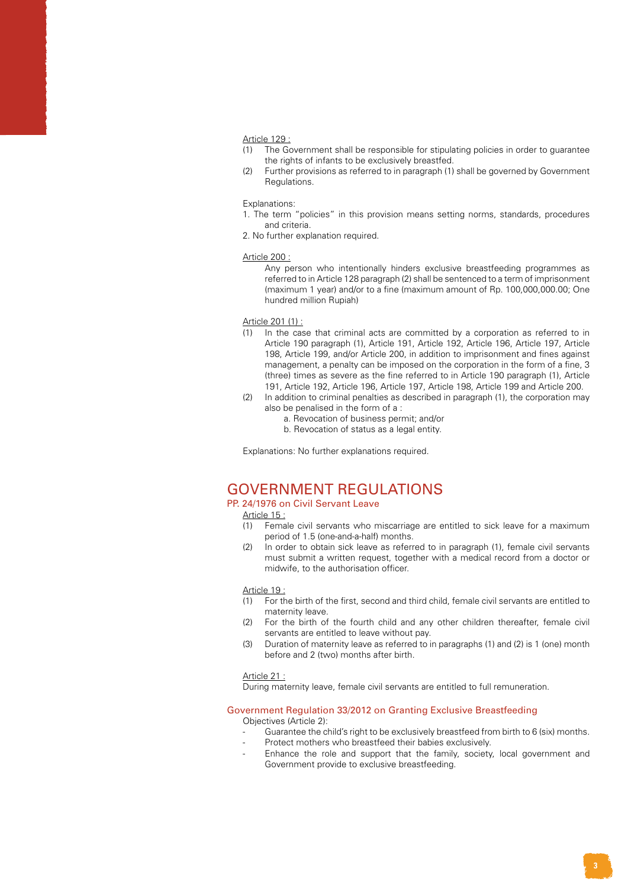#### Article 129 :

- (1) The Government shall be responsible for stipulating policies in order to guarantee the rights of infants to be exclusively breastfed.
- (2) Further provisions as referred to in paragraph (1) shall be governed by Government Regulations.

#### Explanations:

- 1. The term "policies" in this provision means setting norms, standards, procedures and criteria.
- 2. No further explanation required.

#### Article 200 :

Any person who intentionally hinders exclusive breastfeeding programmes as referred to in Article 128 paragraph (2) shall be sentenced to a term of imprisonment (maximum 1 year) and/or to a fine (maximum amount of Rp. 100,000,000.00; One hundred million Rupiah)

#### Article 201 (1) :

- (1) In the case that criminal acts are committed by a corporation as referred to in Article 190 paragraph (1), Article 191, Article 192, Article 196, Article 197, Article 198, Article 199, and/or Article 200, in addition to imprisonment and fines against management, a penalty can be imposed on the corporation in the form of a fine, 3 (three) times as severe as the fine referred to in Article 190 paragraph (1), Article 191, Article 192, Article 196, Article 197, Article 198, Article 199 and Article 200.
- (2) In addition to criminal penalties as described in paragraph (1), the corporation may also be penalised in the form of a :
	- a. Revocation of business permit; and/or
	- b. Revocation of status as a legal entity.

Explanations: No further explanations required.

## GOVERNMENT REGULATIONS

#### PP. 24/1976 on Civil Servant Leave

Article 15 :

- (1) Female civil servants who miscarriage are entitled to sick leave for a maximum period of 1.5 (one-and-a-half) months.
- (2) In order to obtain sick leave as referred to in paragraph (1), female civil servants must submit a written request, together with a medical record from a doctor or midwife, to the authorisation officer.

#### Article 19 :

- (1) For the birth of the first, second and third child, female civil servants are entitled to maternity leave.
- (2) For the birth of the fourth child and any other children thereafter, female civil servants are entitled to leave without pay.
- (3) Duration of maternity leave as referred to in paragraphs (1) and (2) is 1 (one) month before and 2 (two) months after birth.

#### Article 21 :

During maternity leave, female civil servants are entitled to full remuneration.

#### Government Regulation 33/2012 on Granting Exclusive Breastfeeding

Objectives (Article 2):

- Guarantee the child's right to be exclusively breastfeed from birth to 6 (six) months.
- Protect mothers who breastfeed their babies exclusively.
- Enhance the role and support that the family, society, local government and Government provide to exclusive breastfeeding.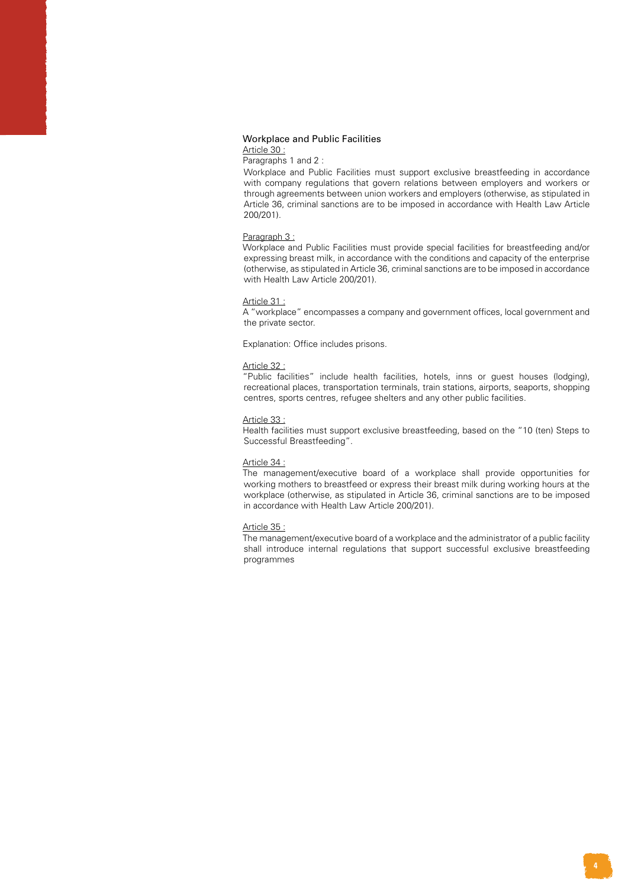#### Workplace and Public Facilities

Article 30 :

Paragraphs 1 and 2 :

Workplace and Public Facilities must support exclusive breastfeeding in accordance with company regulations that govern relations between employers and workers or through agreements between union workers and employers (otherwise, as stipulated in Article 36, criminal sanctions are to be imposed in accordance with Health Law Article 200/201).

#### Paragraph 3 :

Workplace and Public Facilities must provide special facilities for breastfeeding and/or expressing breast milk, in accordance with the conditions and capacity of the enterprise (otherwise, as stipulated in Article 36, criminal sanctions are to be imposed in accordance with Health Law Article 200/201).

#### Article 31 :

A "workplace" encompasses a company and government offices, local government and the private sector.

Explanation: Office includes prisons.

#### Article 32 :

"Public facilities" include health facilities, hotels, inns or guest houses (lodging), recreational places, transportation terminals, train stations, airports, seaports, shopping centres, sports centres, refugee shelters and any other public facilities.

#### Article 33 :

Health facilities must support exclusive breastfeeding, based on the "10 (ten) Steps to Successful Breastfeeding".

#### Article 34 :

The management/executive board of a workplace shall provide opportunities for working mothers to breastfeed or express their breast milk during working hours at the workplace (otherwise, as stipulated in Article 36, criminal sanctions are to be imposed in accordance with Health Law Article 200/201).

#### Article 35 :

The management/executive board of a workplace and the administrator of a public facility shall introduce internal regulations that support successful exclusive breastfeeding programmes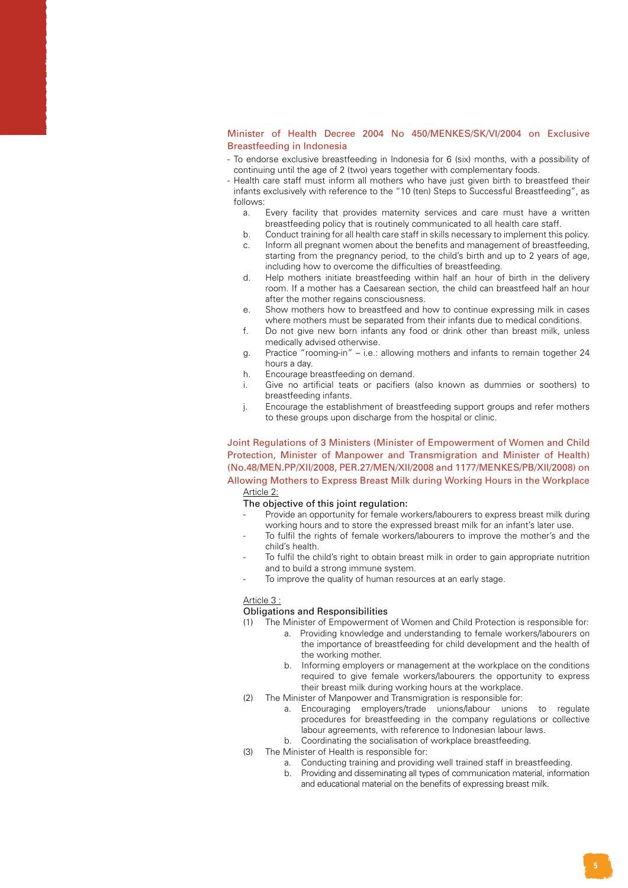#### Minister of Health Decree 2004 No 450/MENKES/SK/VI/2004 on Exclusive Breastfeeding in Indonesia

- To endorse exclusive breastfeeding in Indonesia for 6 (six) months, with a possibility of continuing until the age of 2 (two) years together with complementary foods.
- Health care staff must inform all mothers who have just given birth to breastfeed their infants exclusively with reference to the "10 (ten) Steps to Successful Breastfeeding", as follows:
	- a. Every facility that provides maternity services and care must have a written breastfeeding policy that is routinely communicated to all health care staff.
	- b. Conduct training for all health care staff in skills necessary to implement this policy. c. Inform all pregnant women about the benefits and management of breastfeeding,
	- starting from the pregnancy period, to the child's birth and up to 2 years of age, including how to overcome the difficulties of breastfeeding.
	- d. Help mothers initiate breastfeeding within half an hour of birth in the delivery room. If a mother has a Caesarean section, the child can breastfeed half an hour after the mother regains consciousness.
	- e. Show mothers how to breastfeed and how to continue expressing milk in cases where mothers must be separated from their infants due to medical conditions.
	- f. Do not give new born infants any food or drink other than breast milk, unless medically advised otherwise.
	- g. Practice "rooming-in" i.e.: allowing mothers and infants to remain together 24 hours a day.
	- h. Encourage breastfeeding on demand.
	- i. Give no artificial teats or pacifiers (also known as dummies or soothers) to breastfeeding infants.
	- j. Encourage the establishment of breastfeeding support groups and refer mothers to these groups upon discharge from the hospital or clinic.

Joint Regulations of 3 Ministers (Minister of Empowerment of Women and Child Protection, Minister of Manpower and Transmigration and Minister of Health) (No.48/MEN.PP/XII/2008, PER.27/MEN/XII/2008 and 1177/MENKES/PB/XII/2008) on Allowing Mothers to Express Breast Milk during Working Hours in the Workplace Article 2:

#### The objective of this joint regulation:

- Provide an opportunity for female workers/labourers to express breast milk during working hours and to store the expressed breast milk for an infant's later use.
- To fulfil the rights of female workers/labourers to improve the mother's and the child's health.
- To fulfil the child's right to obtain breast milk in order to gain appropriate nutrition and to build a strong immune system.
- To improve the quality of human resources at an early stage.

#### Article 3 :

#### Obligations and Responsibilities

(1) The Minister of Empowerment of Women and Child Protection is responsible for:

- a. Providing knowledge and understanding to female workers/labourers on the importance of breastfeeding for child development and the health of the working mother.
- b. Informing employers or management at the workplace on the conditions required to give female workers/labourers the opportunity to express their breast milk during working hours at the workplace.
- (2) The Minister of Manpower and Transmigration is responsible for:
	- a. Encouraging employers/trade unions/labour unions to regulate procedures for breastfeeding in the company regulations or collective labour agreements, with reference to Indonesian labour laws.
	- b. Coordinating the socialisation of workplace breastfeeding.
- (3) The Minister of Health is responsible for:
	- a. Conducting training and providing well trained staff in breastfeeding.
	- b. Providing and disseminating all types of communication material, information and educational material on the benefits of expressing breast milk.